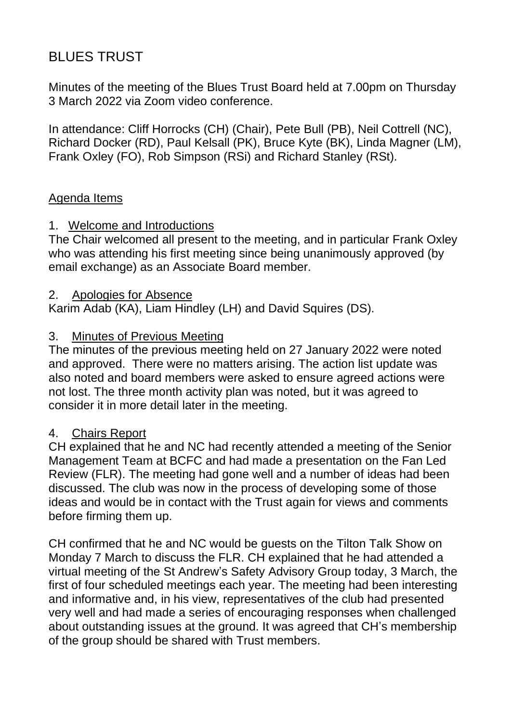# BLUES TRUST

Minutes of the meeting of the Blues Trust Board held at 7.00pm on Thursday 3 March 2022 via Zoom video conference.

In attendance: Cliff Horrocks (CH) (Chair), Pete Bull (PB), Neil Cottrell (NC), Richard Docker (RD), Paul Kelsall (PK), Bruce Kyte (BK), Linda Magner (LM), Frank Oxley (FO), Rob Simpson (RSi) and Richard Stanley (RSt).

#### Agenda Items

## 1. Welcome and Introductions

The Chair welcomed all present to the meeting, and in particular Frank Oxley who was attending his first meeting since being unanimously approved (by email exchange) as an Associate Board member.

#### 2. Apologies for Absence

Karim Adab (KA), Liam Hindley (LH) and David Squires (DS).

#### 3. Minutes of Previous Meeting

The minutes of the previous meeting held on 27 January 2022 were noted and approved. There were no matters arising. The action list update was also noted and board members were asked to ensure agreed actions were not lost. The three month activity plan was noted, but it was agreed to consider it in more detail later in the meeting.

#### 4. Chairs Report

CH explained that he and NC had recently attended a meeting of the Senior Management Team at BCFC and had made a presentation on the Fan Led Review (FLR). The meeting had gone well and a number of ideas had been discussed. The club was now in the process of developing some of those ideas and would be in contact with the Trust again for views and comments before firming them up.

CH confirmed that he and NC would be guests on the Tilton Talk Show on Monday 7 March to discuss the FLR. CH explained that he had attended a virtual meeting of the St Andrew's Safety Advisory Group today, 3 March, the first of four scheduled meetings each year. The meeting had been interesting and informative and, in his view, representatives of the club had presented very well and had made a series of encouraging responses when challenged about outstanding issues at the ground. It was agreed that CH's membership of the group should be shared with Trust members.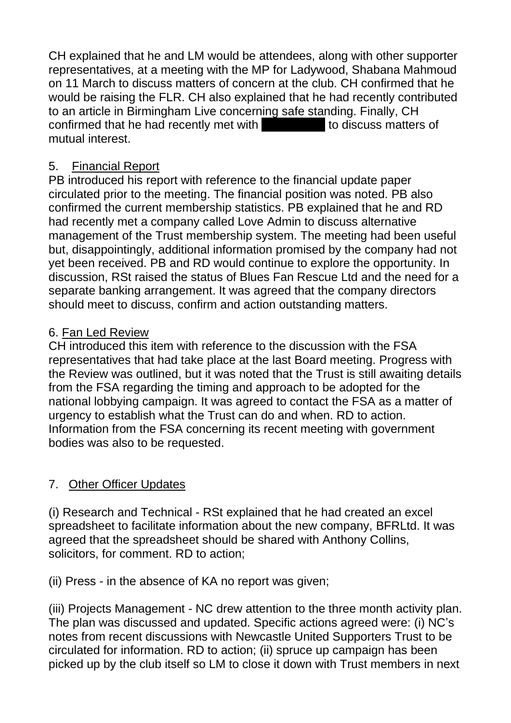CH explained that he and LM would be attendees, along with other supporter representatives, at a meeting with the MP for Ladywood, Shabana Mahmoud on 11 March to discuss matters of concern at the club. CH confirmed that he would be raising the FLR. CH also explained that he had recently contributed to an article in Birmingham Live concerning safe standing. Finally, CH confirmed that he had recently met with **Daniel Ivery to discuss matters of** mutual interest.

#### 5. Financial Report

PB introduced his report with reference to the financial update paper circulated prior to the meeting. The financial position was noted. PB also confirmed the current membership statistics. PB explained that he and RD had recently met a company called Love Admin to discuss alternative management of the Trust membership system. The meeting had been useful but, disappointingly, additional information promised by the company had not yet been received. PB and RD would continue to explore the opportunity. In discussion, RSt raised the status of Blues Fan Rescue Ltd and the need for a separate banking arrangement. It was agreed that the company directors should meet to discuss, confirm and action outstanding matters.

## 6. Fan Led Review

CH introduced this item with reference to the discussion with the FSA representatives that had take place at the last Board meeting. Progress with the Review was outlined, but it was noted that the Trust is still awaiting details from the FSA regarding the timing and approach to be adopted for the national lobbying campaign. It was agreed to contact the FSA as a matter of urgency to establish what the Trust can do and when. RD to action. Information from the FSA concerning its recent meeting with government bodies was also to be requested.

# 7. Other Officer Updates

(i) Research and Technical - RSt explained that he had created an excel spreadsheet to facilitate information about the new company, BFRLtd. It was agreed that the spreadsheet should be shared with Anthony Collins, solicitors, for comment. RD to action;

(ii) Press - in the absence of KA no report was given;

(iii) Projects Management - NC drew attention to the three month activity plan. The plan was discussed and updated. Specific actions agreed were: (i) NC's notes from recent discussions with Newcastle United Supporters Trust to be circulated for information. RD to action; (ii) spruce up campaign has been picked up by the club itself so LM to close it down with Trust members in next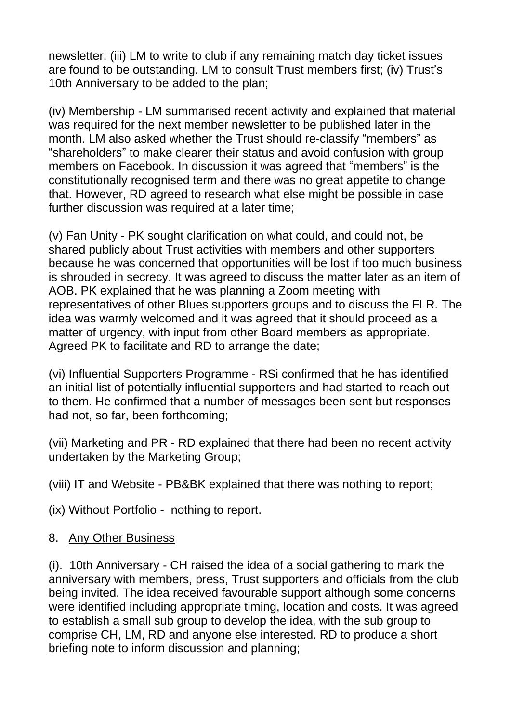newsletter; (iii) LM to write to club if any remaining match day ticket issues are found to be outstanding. LM to consult Trust members first; (iv) Trust's 10th Anniversary to be added to the plan;

(iv) Membership - LM summarised recent activity and explained that material was required for the next member newsletter to be published later in the month. LM also asked whether the Trust should re-classify "members" as "shareholders" to make clearer their status and avoid confusion with group members on Facebook. In discussion it was agreed that "members" is the constitutionally recognised term and there was no great appetite to change that. However, RD agreed to research what else might be possible in case further discussion was required at a later time;

(v) Fan Unity - PK sought clarification on what could, and could not, be shared publicly about Trust activities with members and other supporters because he was concerned that opportunities will be lost if too much business is shrouded in secrecy. It was agreed to discuss the matter later as an item of AOB. PK explained that he was planning a Zoom meeting with representatives of other Blues supporters groups and to discuss the FLR. The idea was warmly welcomed and it was agreed that it should proceed as a matter of urgency, with input from other Board members as appropriate. Agreed PK to facilitate and RD to arrange the date;

(vi) Influential Supporters Programme - RSi confirmed that he has identified an initial list of potentially influential supporters and had started to reach out to them. He confirmed that a number of messages been sent but responses had not, so far, been forthcoming;

(vii) Marketing and PR - RD explained that there had been no recent activity undertaken by the Marketing Group;

(viii) IT and Website - PB&BK explained that there was nothing to report;

(ix) Without Portfolio - nothing to report.

# 8. Any Other Business

(i). 10th Anniversary - CH raised the idea of a social gathering to mark the anniversary with members, press, Trust supporters and officials from the club being invited. The idea received favourable support although some concerns were identified including appropriate timing, location and costs. It was agreed to establish a small sub group to develop the idea, with the sub group to comprise CH, LM, RD and anyone else interested. RD to produce a short briefing note to inform discussion and planning;